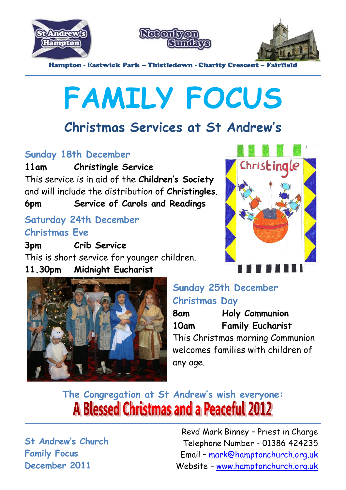





Hampton - Eastwick Park – Thistledown - Charity Crescent – Fairfield

# **FAMILY FOCUS**

### **Christmas Services at St Andrew's**

#### **Sunday 18th December**

**11am Christingle Service**

This service is in aid of the **Children's Society** and will include the distribution of **Christingles**.

**6pm Service of Carols and Readings**

#### **Saturday 24th December Christmas Eve**

**3pm Crib Service** This is short service for younger children. **11.30pm Midnight Eucharist** 





#### **Sunday 25th December Christmas Day**

**8am Holy Communion 10am Family Eucharist** This Christmas morning Communion welcomes families with children of any age.

### **The Congregation at St Andrew's wish everyone:A Blessed Christmas and a Peaceful 2012**

**St Andrew's Church Family Focus December 2011**

Revd Mark Binney – Priest in Charge Telephone Number - 01386 424235 Email – mark@hamptonchurch.org.uk Website – www.hamptonchurch.org.uk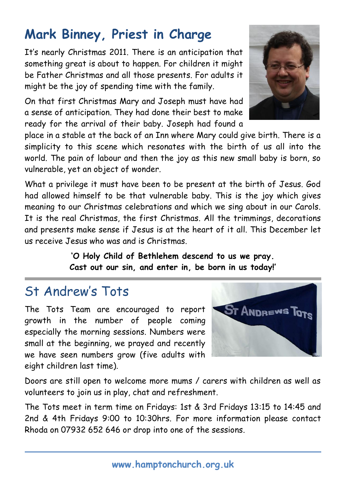## **Mark Binney, Priest in Charge**

It's nearly Christmas 2011. There is an anticipation that something great is about to happen. For children it might be Father Christmas and all those presents. For adults it might be the joy of spending time with the family.

On that first Christmas Mary and Joseph must have had a sense of anticipation. They had done their best to make ready for the arrival of their baby. Joseph had found a

place in a stable at the back of an Inn where Mary could give birth. There is a simplicity to this scene which resonates with the birth of us all into the world. The pain of labour and then the joy as this new small baby is born, so vulnerable, yet an object of wonder.

What a privilege it must have been to be present at the birth of Jesus. God had allowed himself to be that vulnerable baby. This is the joy which gives meaning to our Christmas celebrations and which we sing about in our Carols. It is the real Christmas, the first Christmas. All the trimmings, decorations and presents make sense if Jesus is at the heart of it all. This December let us receive Jesus who was and is Christmas.

> **'O Holy Child of Bethlehem descend to us we pray. Cast out our sin, and enter in, be born in us today!'**

#### St Andrew's Tots

The Tots Team are encouraged to report growth in the number of people coming especially the morning sessions. Numbers were small at the beginning, we prayed and recently we have seen numbers grow (five adults with eight children last time).

Doors are still open to welcome more mums / carers with children as well as volunteers to join us in play, chat and refreshment.

The Tots meet in term time on Fridays: 1st & 3rd Fridays 13:15 to 14:45 and 2nd & 4th Fridays 9:00 to 10:30hrs. For more information please contact Rhoda on 07932 652 646 or drop into one of the sessions.



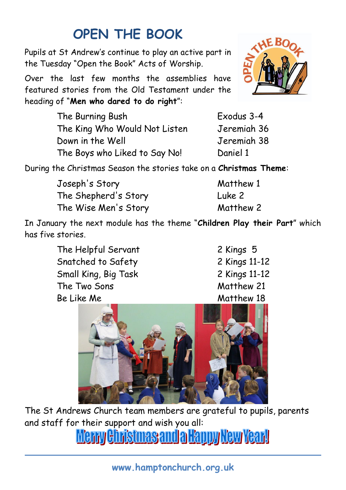## **OPEN THE BOOK**

Pupils at St Andrew's continue to play an active part in the Tuesday "Open the Book" Acts of Worship.

Over the last few months the assemblies have featured stories from the Old Testament under the heading of "**Men who dared to do right**":

The Burning Bush Exodus 3-4 The King Who Would Not Listen Jeremiah 36 Down in the Well Jeremiah 38 The Boys who Liked to Say No! Daniel 1

During the Christmas Season the stories take on a **Christmas Theme**:

Joseph's Story Matthew 1 The Shepherd's Story Luke 2 The Wise Men's Story Matthew 2

In January the next module has the theme "**Children Play their Part**" which has five stories.

> The Helpful Servant 2 Kings 5 Snatched to Safety 2 Kings 11-12 Small King, Big Task 2 Kings 11-12 The Two Sons Matthew 21 Be Like Me Matthew 18



The St Andrews Church team members are grateful to pupils, parents and staff for their support and wish you all:

<u>Merry Christmas and a Happy New Year!</u>